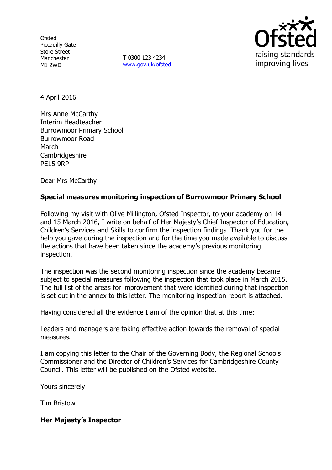**Ofsted** Piccadilly Gate Store Street Manchester M1 2WD

**T** 0300 123 4234 www.gov.uk/ofsted



4 April 2016

Mrs Anne McCarthy Interim Headteacher Burrowmoor Primary School Burrowmoor Road March **Cambridgeshire** PE15 9RP

Dear Mrs McCarthy

#### **Special measures monitoring inspection of Burrowmoor Primary School**

Following my visit with Olive Millington, Ofsted Inspector, to your academy on 14 and 15 March 2016, I write on behalf of Her Majesty's Chief Inspector of Education, Children's Services and Skills to confirm the inspection findings. Thank you for the help you gave during the inspection and for the time you made available to discuss the actions that have been taken since the academy's previous monitoring inspection.

The inspection was the second monitoring inspection since the academy became subject to special measures following the inspection that took place in March 2015. The full list of the areas for improvement that were identified during that inspection is set out in the annex to this letter. The monitoring inspection report is attached.

Having considered all the evidence I am of the opinion that at this time:

Leaders and managers are taking effective action towards the removal of special measures.

I am copying this letter to the Chair of the Governing Body, the Regional Schools Commissioner and the Director of Children's Services for Cambridgeshire County Council. This letter will be published on the Ofsted website.

Yours sincerely

Tim Bristow

#### **Her Majesty's Inspector**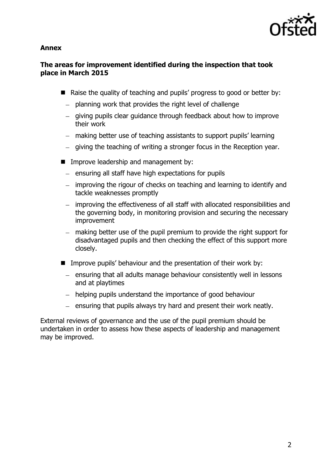

### **Annex**

# **The areas for improvement identified during the inspection that took place in March 2015**

- $\blacksquare$  Raise the quality of teaching and pupils' progress to good or better by:
	- $-$  planning work that provides the right level of challenge
	- giving pupils clear guidance through feedback about how to improve their work
	- making better use of teaching assistants to support pupils' learning
	- giving the teaching of writing a stronger focus in the Reception year.
- **IMPROVE leadership and management by:** 
	- ensuring all staff have high expectations for pupils
	- improving the rigour of checks on teaching and learning to identify and tackle weaknesses promptly
	- improving the effectiveness of all staff with allocated responsibilities and the governing body, in monitoring provision and securing the necessary improvement
	- making better use of the pupil premium to provide the right support for disadvantaged pupils and then checking the effect of this support more closely.
- **IMPROVE PUPILS' behaviour and the presentation of their work by:** 
	- $-$  ensuring that all adults manage behaviour consistently well in lessons and at playtimes
	- helping pupils understand the importance of good behaviour
	- $-$  ensuring that pupils always try hard and present their work neatly.

External reviews of governance and the use of the pupil premium should be undertaken in order to assess how these aspects of leadership and management may be improved.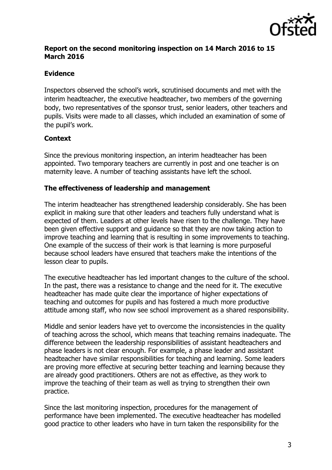

# **Report on the second monitoring inspection on 14 March 2016 to 15 March 2016**

# **Evidence**

Inspectors observed the school's work, scrutinised documents and met with the interim headteacher, the executive headteacher, two members of the governing body, two representatives of the sponsor trust, senior leaders, other teachers and pupils. Visits were made to all classes, which included an examination of some of the pupil's work.

### **Context**

Since the previous monitoring inspection, an interim headteacher has been appointed. Two temporary teachers are currently in post and one teacher is on maternity leave. A number of teaching assistants have left the school.

### **The effectiveness of leadership and management**

The interim headteacher has strengthened leadership considerably. She has been explicit in making sure that other leaders and teachers fully understand what is expected of them. Leaders at other levels have risen to the challenge. They have been given effective support and guidance so that they are now taking action to improve teaching and learning that is resulting in some improvements to teaching. One example of the success of their work is that learning is more purposeful because school leaders have ensured that teachers make the intentions of the lesson clear to pupils.

The executive headteacher has led important changes to the culture of the school. In the past, there was a resistance to change and the need for it. The executive headteacher has made quite clear the importance of higher expectations of teaching and outcomes for pupils and has fostered a much more productive attitude among staff, who now see school improvement as a shared responsibility.

Middle and senior leaders have yet to overcome the inconsistencies in the quality of teaching across the school, which means that teaching remains inadequate. The difference between the leadership responsibilities of assistant headteachers and phase leaders is not clear enough. For example, a phase leader and assistant headteacher have similar responsibilities for teaching and learning. Some leaders are proving more effective at securing better teaching and learning because they are already good practitioners. Others are not as effective, as they work to improve the teaching of their team as well as trying to strengthen their own practice.

Since the last monitoring inspection, procedures for the management of performance have been implemented. The executive headteacher has modelled good practice to other leaders who have in turn taken the responsibility for the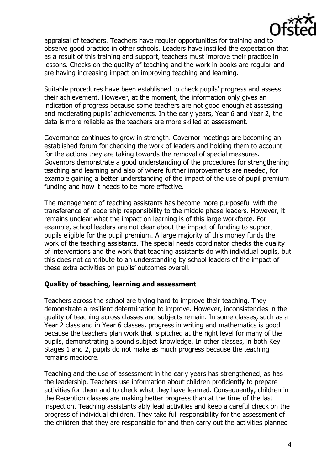

appraisal of teachers. Teachers have regular opportunities for training and to observe good practice in other schools. Leaders have instilled the expectation that as a result of this training and support, teachers must improve their practice in lessons. Checks on the quality of teaching and the work in books are regular and are having increasing impact on improving teaching and learning.

Suitable procedures have been established to check pupils' progress and assess their achievement. However, at the moment, the information only gives an indication of progress because some teachers are not good enough at assessing and moderating pupils' achievements. In the early years, Year 6 and Year 2, the data is more reliable as the teachers are more skilled at assessment.

Governance continues to grow in strength. Governor meetings are becoming an established forum for checking the work of leaders and holding them to account for the actions they are taking towards the removal of special measures. Governors demonstrate a good understanding of the procedures for strengthening teaching and learning and also of where further improvements are needed, for example gaining a better understanding of the impact of the use of pupil premium funding and how it needs to be more effective.

The management of teaching assistants has become more purposeful with the transference of leadership responsibility to the middle phase leaders. However, it remains unclear what the impact on learning is of this large workforce. For example, school leaders are not clear about the impact of funding to support pupils eligible for the pupil premium. A large majority of this money funds the work of the teaching assistants. The special needs coordinator checks the quality of interventions and the work that teaching assistants do with individual pupils, but this does not contribute to an understanding by school leaders of the impact of these extra activities on pupils' outcomes overall.

### **Quality of teaching, learning and assessment**

Teachers across the school are trying hard to improve their teaching. They demonstrate a resilient determination to improve. However, inconsistencies in the quality of teaching across classes and subjects remain. In some classes, such as a Year 2 class and in Year 6 classes, progress in writing and mathematics is good because the teachers plan work that is pitched at the right level for many of the pupils, demonstrating a sound subject knowledge. In other classes, in both Key Stages 1 and 2, pupils do not make as much progress because the teaching remains mediocre.

Teaching and the use of assessment in the early years has strengthened, as has the leadership. Teachers use information about children proficiently to prepare activities for them and to check what they have learned. Consequently, children in the Reception classes are making better progress than at the time of the last inspection. Teaching assistants ably lead activities and keep a careful check on the progress of individual children. They take full responsibility for the assessment of the children that they are responsible for and then carry out the activities planned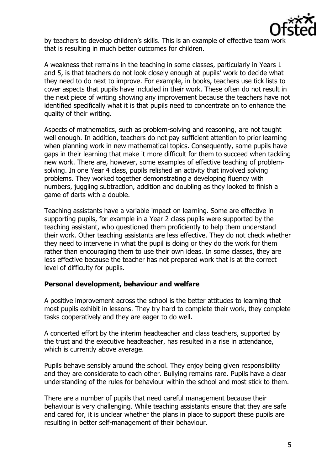

by teachers to develop children's skills. This is an example of effective team work that is resulting in much better outcomes for children.

A weakness that remains in the teaching in some classes, particularly in Years 1 and 5, is that teachers do not look closely enough at pupils' work to decide what they need to do next to improve. For example, in books, teachers use tick lists to cover aspects that pupils have included in their work. These often do not result in the next piece of writing showing any improvement because the teachers have not identified specifically what it is that pupils need to concentrate on to enhance the quality of their writing.

Aspects of mathematics, such as problem-solving and reasoning, are not taught well enough. In addition, teachers do not pay sufficient attention to prior learning when planning work in new mathematical topics. Consequently, some pupils have gaps in their learning that make it more difficult for them to succeed when tackling new work. There are, however, some examples of effective teaching of problemsolving. In one Year 4 class, pupils relished an activity that involved solving problems. They worked together demonstrating a developing fluency with numbers, juggling subtraction, addition and doubling as they looked to finish a game of darts with a double.

Teaching assistants have a variable impact on learning. Some are effective in supporting pupils, for example in a Year 2 class pupils were supported by the teaching assistant, who questioned them proficiently to help them understand their work. Other teaching assistants are less effective. They do not check whether they need to intervene in what the pupil is doing or they do the work for them rather than encouraging them to use their own ideas. In some classes, they are less effective because the teacher has not prepared work that is at the correct level of difficulty for pupils.

### **Personal development, behaviour and welfare**

A positive improvement across the school is the better attitudes to learning that most pupils exhibit in lessons. They try hard to complete their work, they complete tasks cooperatively and they are eager to do well.

A concerted effort by the interim headteacher and class teachers, supported by the trust and the executive headteacher, has resulted in a rise in attendance, which is currently above average.

Pupils behave sensibly around the school. They enjoy being given responsibility and they are considerate to each other. Bullying remains rare. Pupils have a clear understanding of the rules for behaviour within the school and most stick to them.

There are a number of pupils that need careful management because their behaviour is very challenging. While teaching assistants ensure that they are safe and cared for, it is unclear whether the plans in place to support these pupils are resulting in better self-management of their behaviour.